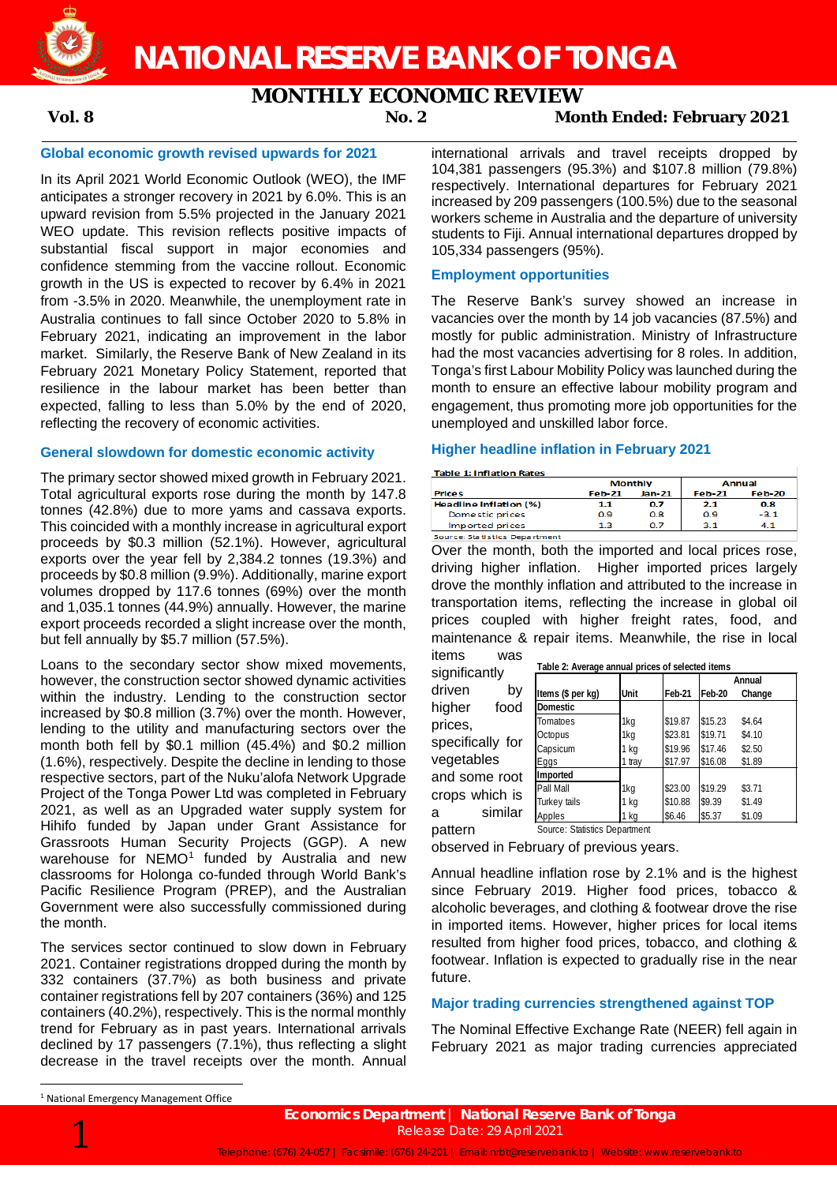

### **NATIONAL RESERVE BANK OF TONGA**

# **MONTHLY ECONOMIC REVIEW**<br>Mor 2

**Vol. 8 No. 2 Month Ended: February 2021**

### **Global economic growth revised upwards for 2021**

In its April 2021 World Economic Outlook (WEO), the IMF anticipates a stronger recovery in 2021 by 6.0%. This is an upward revision from 5.5% projected in the January 2021 WEO update. This revision reflects positive impacts of substantial fiscal support in major economies and confidence stemming from the vaccine rollout. Economic growth in the US is expected to recover by 6.4% in 2021 from -3.5% in 2020. Meanwhile, the unemployment rate in Australia continues to fall since October 2020 to 5.8% in February 2021, indicating an improvement in the labor market. Similarly, the Reserve Bank of New Zealand in its February 2021 Monetary Policy Statement, reported that resilience in the labour market has been better than expected, falling to less than 5.0% by the end of 2020, reflecting the recovery of economic activities.

#### **General slowdown for domestic economic activity**

The primary sector showed mixed growth in February 2021. Total agricultural exports rose during the month by 147.8 tonnes (42.8%) due to more yams and cassava exports. This coincided with a monthly increase in agricultural export proceeds by \$0.3 million (52.1%). However, agricultural exports over the year fell by 2,384.2 tonnes (19.3%) and proceeds by \$0.8 million (9.9%). Additionally, marine export volumes dropped by 117.6 tonnes (69%) over the month and 1,035.1 tonnes (44.9%) annually. However, the marine export proceeds recorded a slight increase over the month, but fell annually by \$5.7 million (57.5%).

Loans to the secondary sector show mixed movements, however, the construction sector showed dynamic activities within the industry. Lending to the construction sector increased by \$0.8 million (3.7%) over the month. However, lending to the utility and manufacturing sectors over the month both fell by \$0.1 million (45.4%) and \$0.2 million (1.6%), respectively. Despite the decline in lending to those respective sectors, part of the Nuku'alofa Network Upgrade Project of the Tonga Power Ltd was completed in February 2021, as well as an Upgraded water supply system for Hihifo funded by Japan under Grant Assistance for Grassroots Human Security Projects (GGP). A new warehouse for NEMO<sup>[1](#page-0-0)</sup> funded by Australia and new classrooms for Holonga co-funded through World Bank's Pacific Resilience Program (PREP), and the Australian Government were also successfully commissioned during the month.

<span id="page-0-0"></span>The services sector continued to slow down in February 2021. Container registrations dropped during the month by 332 containers (37.7%) as both business and private container registrations fell by 207 containers (36%) and 125 containers (40.2%), respectively. This is the normal monthly trend for February as in past years. International arrivals declined by 17 passengers (7.1%), thus reflecting a slight decrease in the travel receipts over the month. Annual international arrivals and travel receipts dropped by 104,381 passengers (95.3%) and \$107.8 million (79.8%) respectively. International departures for February 2021 increased by 209 passengers (100.5%) due to the seasonal workers scheme in Australia and the departure of university students to Fiji. Annual international departures dropped by 105,334 passengers (95%).

### **Employment opportunities**

The Reserve Bank's survey showed an increase in vacancies over the month by 14 job vacancies (87.5%) and mostly for public administration. Ministry of Infrastructure had the most vacancies advertising for 8 roles. In addition, Tonga's first Labour Mobility Policy was launched during the month to ensure an effective labour mobility program and engagement, thus promoting more job opportunities for the unemployed and unskilled labor force.

#### **Higher headline inflation in February 2021**

**Tobio 1: Inflation Rates** 

|                               |        | <b>Monthly</b> | <b>Annual</b> |        |  |
|-------------------------------|--------|----------------|---------------|--------|--|
| <b>Prices</b>                 | Feb-21 | Jan-21         | $Fe$ b-21     | Feb-20 |  |
| <b>Headline Inflation (%)</b> | 1.1    | 0.7            | 2.1           | 0.8    |  |
| Domestic prices               | 0.9    | 0.8            | 0.9           | $-3.1$ |  |
| Imported prices               | 13.    | 0.7            | 31            | 4.1    |  |
| Source: Statistics Department |        |                |               |        |  |

Over the month, both the imported and local prices rose, driving higher inflation. Higher imported prices largely drove the monthly inflation and attributed to the increase in transportation items, reflecting the increase in global oil prices coupled with higher freight rates, food, and maintenance & repair items. Meanwhile, the rise in local items was

significantly driven by higher food prices, specifically for vegetables and some root crops which is a similar

| Table 2: Average annual prices of selected items |        |         |         |        |  |  |  |
|--------------------------------------------------|--------|---------|---------|--------|--|--|--|
|                                                  |        |         | Annual  |        |  |  |  |
| Items (\$ per kg)                                | Unit   | Feb-21  | Feb-20  | Change |  |  |  |
| <b>Domestic</b>                                  |        |         |         |        |  |  |  |
| Tomatoes                                         | 1kg    | \$19.87 | \$15.23 | \$4.64 |  |  |  |
| Octopus                                          | 1kg    | \$23.81 | \$19.71 | \$4.10 |  |  |  |
| Capsicum                                         | 1 kg   | \$19.96 | \$17.46 | \$2.50 |  |  |  |
| Eggs                                             | 1 tray | \$17.97 | \$16.08 | \$1.89 |  |  |  |
| Imported                                         |        |         |         |        |  |  |  |
| Pall Mall                                        | 1kg    | \$23.00 | \$19.29 | \$3.71 |  |  |  |
| Turkey tails                                     | kq     | \$10.88 | \$9.39  | \$1.49 |  |  |  |
| Apples                                           | kq     | \$6.46  | \$5.37  | \$1.09 |  |  |  |

pattern

Source: Statistics Department

observed in February of previous years.

Annual headline inflation rose by 2.1% and is the highest since February 2019. Higher food prices, tobacco & alcoholic beverages, and clothing & footwear drove the rise in imported items. However, higher prices for local items resulted from higher food prices, tobacco, and clothing & footwear. Inflation is expected to gradually rise in the near future.

### **Major trading currencies strengthened against TOP**

The Nominal Effective Exchange Rate (NEER) fell again in February 2021 as major trading currencies appreciated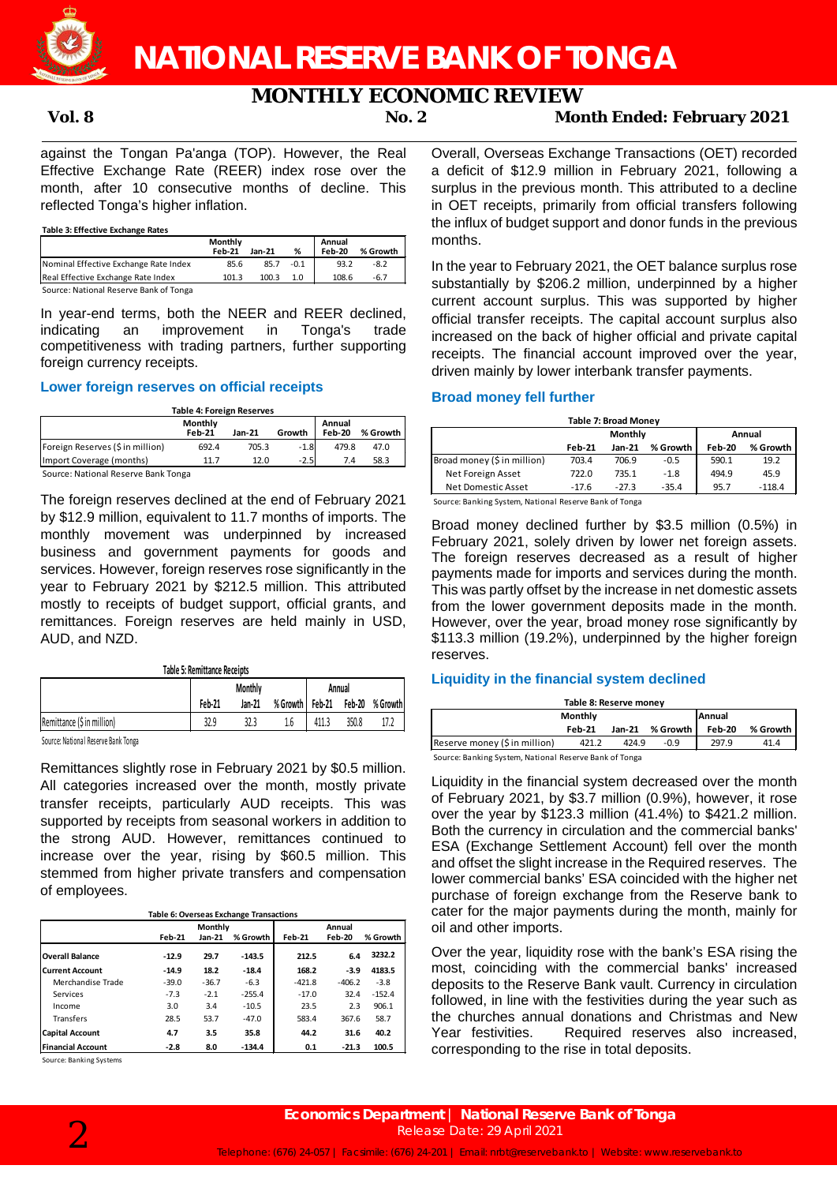

## **MONTHLY ECONOMIC REVIEW**<br>Moreon 2

**Vol. 8 No. 2 Month Ended: February 2021**

against the Tongan Pa'anga (TOP). However, the Real Effective Exchange Rate (REER) index rose over the month, after 10 consecutive months of decline. This reflected Tonga's higher inflation.

**Table 3: Effective Exchange Rates**

|                                        | Monthly<br><b>Feb-21</b> | <b>Jan-21</b> | %      | Annual<br>Feb-20 | % Growth |
|----------------------------------------|--------------------------|---------------|--------|------------------|----------|
| Nominal Effective Exchange Rate Index  | 85.6                     | 85.7          | $-0.1$ | 93.2             | $-8.2$   |
| Real Effective Exchange Rate Index     | 101.3                    | 100.3         | 1.0    | 108.6            | $-6.7$   |
| Source: National Reserve Bank of Tonga |                          |               |        |                  |          |

In year-end terms, both the NEER and REER declined, indicating an improvement in Tonga's trade competitiveness with trading partners, further supporting foreign currency receipts.

### **Lower foreign reserves on official receipts**

| <b>Table 4: Foreign Reserves</b> |                          |        |        |                  |          |  |  |  |
|----------------------------------|--------------------------|--------|--------|------------------|----------|--|--|--|
|                                  | Monthly<br><b>Feb-21</b> | Jan-21 | Growth | Annual<br>Feb-20 | % Growth |  |  |  |
| Foreign Reserves (\$ in million) | 692.4                    | 705.3  | $-1.8$ | 479.8            | 47.0     |  |  |  |
| Import Coverage (months)         | 11.7                     | 12.0   | $-2.5$ | 7.4              | 58.3     |  |  |  |
| $\sim$<br>.                      |                          |        |        |                  |          |  |  |  |

Source: National Reserve Bank Tonga

The foreign reserves declined at the end of February 2021 by \$12.9 million, equivalent to 11.7 months of imports. The monthly movement was underpinned by increased business and government payments for goods and services. However, foreign reserves rose significantly in the year to February 2021 by \$212.5 million. This attributed mostly to receipts of budget support, official grants, and remittances. Foreign reserves are held mainly in USD, AUD, and NZD.

**Table 5: Remittance Receipts**

|                                    | <b>Monthly</b> |        |     | Annual |       |                                 |
|------------------------------------|----------------|--------|-----|--------|-------|---------------------------------|
|                                    | Feb-21         | Jan-21 |     |        |       | % Growth Feb-21 Feb-20 % Growth |
| Remittance (\$ in million)         | 32.9           | 32.3   | 1.6 | 411.3  | 350.8 | 17.2                            |
| Concert Mathews Library Could Town |                |        |     |        |       |                                 |

Source: National Reserve Bank Tonga

Remittances slightly rose in February 2021 by \$0.5 million. All categories increased over the month, mostly private transfer receipts, particularly AUD receipts. This was supported by receipts from seasonal workers in addition to the strong AUD. However, remittances continued to increase over the year, rising by \$60.5 million. This stemmed from higher private transfers and compensation of employees.

**Table 6: Overseas Exchange Transactions**

|                          | Monthly<br>Annual |          |          |          |          |          |
|--------------------------|-------------------|----------|----------|----------|----------|----------|
|                          | <b>Feb-21</b>     | $Jan-21$ | % Growth | Feb-21   | Feb-20   | % Growth |
| <b>Overall Balance</b>   | $-12.9$           | 29.7     | $-143.5$ | 212.5    | 6.4      | 3232.2   |
| <b>Current Account</b>   | $-14.9$           | 18.2     | $-18.4$  | 168.2    | $-3.9$   | 4183.5   |
| Merchandise Trade        | $-39.0$           | $-36.7$  | $-6.3$   | $-421.8$ | $-406.2$ | $-3.8$   |
| Services                 | $-7.3$            | $-2.1$   | $-255.4$ | $-17.0$  | 32.4     | $-152.4$ |
| Income                   | 3.0               | 3.4      | $-10.5$  | 23.5     | 2.3      | 906.1    |
| Transfers                | 28.5              | 53.7     | $-47.0$  | 583.4    | 367.6    | 58.7     |
| <b>Capital Account</b>   | 4.7               | 3.5      | 35.8     | 44.2     | 31.6     | 40.2     |
| <b>Financial Account</b> | $-2.8$            | 8.0      | $-134.4$ | 0.1      | $-21.3$  | 100.5    |

Source: Banking Systems

Overall, Overseas Exchange Transactions (OET) recorded a deficit of \$12.9 million in February 2021, following a surplus in the previous month. This attributed to a decline in OET receipts, primarily from official transfers following the influx of budget support and donor funds in the previous months.

In the year to February 2021, the OET balance surplus rose substantially by \$206.2 million, underpinned by a higher current account surplus. This was supported by higher official transfer receipts. The capital account surplus also increased on the back of higher official and private capital receipts. The financial account improved over the year, driven mainly by lower interbank transfer payments.

### **Broad money fell further**

|         |         |          | <b>Table 7: Broad Money</b> |          |  |  |  |  |  |  |  |
|---------|---------|----------|-----------------------------|----------|--|--|--|--|--|--|--|
|         | Monthly | Annual   |                             |          |  |  |  |  |  |  |  |
| Feb-21  | Jan-21  | % Growth | Feb-20                      | % Growth |  |  |  |  |  |  |  |
| 703.4   | 706.9   | $-0.5$   | 590.1                       | 19.2     |  |  |  |  |  |  |  |
| 722.0   | 735.1   | $-1.8$   | 494.9                       | 45.9     |  |  |  |  |  |  |  |
| $-17.6$ | $-27.3$ | $-35.4$  | 95.7                        | $-118.4$ |  |  |  |  |  |  |  |
|         |         | .        |                             |          |  |  |  |  |  |  |  |

Source: Banking System, National Reserve Bank of Tonga

Broad money declined further by \$3.5 million (0.5%) in February 2021, solely driven by lower net foreign assets. The foreign reserves decreased as a result of higher payments made for imports and services during the month. This was partly offset by the increase in net domestic assets from the lower government deposits made in the month. However, over the year, broad money rose significantly by \$113.3 million (19.2%), underpinned by the higher foreign reserves.

### **Liquidity in the financial system declined**

| Table 8: Reserve money                                  |        |        |          |        |          |  |  |  |
|---------------------------------------------------------|--------|--------|----------|--------|----------|--|--|--|
| Monthly<br>Annual                                       |        |        |          |        |          |  |  |  |
|                                                         | Feb-21 | Jan-21 | % Growth | Feb-20 | % Growth |  |  |  |
| Reserve money (\$ in million)                           | 421.2  | 424.9  | $-0.9$   | 297.9  | 41.4     |  |  |  |
| Concordination Critical Motional Deserve Deal: of Tenne |        |        |          |        |          |  |  |  |

Source: Banking System, National Reserve Bank of Tonga

Liquidity in the financial system decreased over the month of February 2021, by \$3.7 million (0.9%), however, it rose over the year by \$123.3 million (41.4%) to \$421.2 million. Both the currency in circulation and the commercial banks' ESA (Exchange Settlement Account) fell over the month and offset the slight increase in the Required reserves. The lower commercial banks' ESA coincided with the higher net purchase of foreign exchange from the Reserve bank to cater for the major payments during the month, mainly for oil and other imports.

Over the year, liquidity rose with the bank's ESA rising the most, coinciding with the commercial banks' increased deposits to the Reserve Bank vault. Currency in circulation followed, in line with the festivities during the year such as the churches annual donations and Christmas and New Year festivities. Required reserves also increased, corresponding to the rise in total deposits.